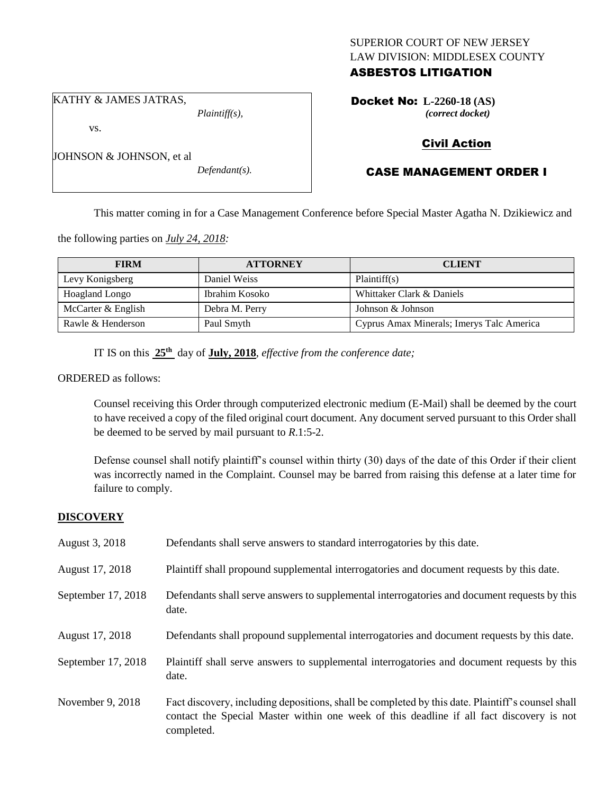# SUPERIOR COURT OF NEW JERSEY LAW DIVISION: MIDDLESEX COUNTY

# ASBESTOS LITIGATION

KATHY & JAMES JATRAS,

JOHNSON & JOHNSON, et al

vs.

*Plaintiff(s),*

*Defendant(s).*

Docket No: **L-2260-18 (AS)** *(correct docket)*

## Civil Action

# CASE MANAGEMENT ORDER I

This matter coming in for a Case Management Conference before Special Master Agatha N. Dzikiewicz and

the following parties on *July 24, 2018:*

| <b>FIRM</b>           | <b>ATTORNEY</b> | <b>CLIENT</b>                             |
|-----------------------|-----------------|-------------------------------------------|
| Levy Konigsberg       | Daniel Weiss    | Plaintiff(s)                              |
| <b>Hoagland Longo</b> | Ibrahim Kosoko  | Whittaker Clark & Daniels                 |
| McCarter & English    | Debra M. Perry  | Johnson & Johnson                         |
| Rawle & Henderson     | Paul Smyth      | Cyprus Amax Minerals; Imerys Talc America |

IT IS on this **25th** day of **July, 2018**, *effective from the conference date;*

ORDERED as follows:

Counsel receiving this Order through computerized electronic medium (E-Mail) shall be deemed by the court to have received a copy of the filed original court document. Any document served pursuant to this Order shall be deemed to be served by mail pursuant to *R*.1:5-2.

Defense counsel shall notify plaintiff's counsel within thirty (30) days of the date of this Order if their client was incorrectly named in the Complaint. Counsel may be barred from raising this defense at a later time for failure to comply.

#### **DISCOVERY**

| August 3, 2018     | Defendants shall serve answers to standard interrogatories by this date.                                                                                                                                    |
|--------------------|-------------------------------------------------------------------------------------------------------------------------------------------------------------------------------------------------------------|
| August 17, 2018    | Plaintiff shall propound supplemental interrogatories and document requests by this date.                                                                                                                   |
| September 17, 2018 | Defendants shall serve answers to supplemental interrogatories and document requests by this<br>date.                                                                                                       |
| August 17, 2018    | Defendants shall propound supplemental interrogatories and document requests by this date.                                                                                                                  |
| September 17, 2018 | Plaintiff shall serve answers to supplemental interrogatories and document requests by this<br>date.                                                                                                        |
| November 9, 2018   | Fact discovery, including depositions, shall be completed by this date. Plaintiff's counsel shall<br>contact the Special Master within one week of this deadline if all fact discovery is not<br>completed. |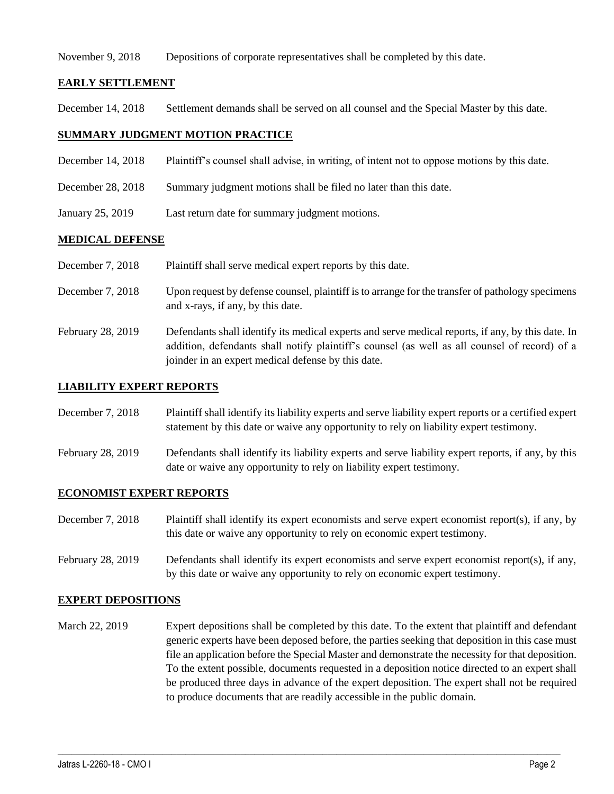#### November 9, 2018 Depositions of corporate representatives shall be completed by this date.

#### **EARLY SETTLEMENT**

December 14, 2018 Settlement demands shall be served on all counsel and the Special Master by this date.

#### **SUMMARY JUDGMENT MOTION PRACTICE**

- December 14, 2018 Plaintiff's counsel shall advise, in writing, of intent not to oppose motions by this date.
- December 28, 2018 Summary judgment motions shall be filed no later than this date.
- January 25, 2019 Last return date for summary judgment motions.

#### **MEDICAL DEFENSE**

- December 7, 2018 Plaintiff shall serve medical expert reports by this date.
- December 7, 2018 Upon request by defense counsel, plaintiff is to arrange for the transfer of pathology specimens and x-rays, if any, by this date.
- February 28, 2019 Defendants shall identify its medical experts and serve medical reports, if any, by this date. In addition, defendants shall notify plaintiff's counsel (as well as all counsel of record) of a joinder in an expert medical defense by this date.

#### **LIABILITY EXPERT REPORTS**

- December 7, 2018 Plaintiff shall identify its liability experts and serve liability expert reports or a certified expert statement by this date or waive any opportunity to rely on liability expert testimony.
- February 28, 2019 Defendants shall identify its liability experts and serve liability expert reports, if any, by this date or waive any opportunity to rely on liability expert testimony.

#### **ECONOMIST EXPERT REPORTS**

- December 7, 2018 Plaintiff shall identify its expert economists and serve expert economist report(s), if any, by this date or waive any opportunity to rely on economic expert testimony.
- February 28, 2019 Defendants shall identify its expert economists and serve expert economist report(s), if any, by this date or waive any opportunity to rely on economic expert testimony.

#### **EXPERT DEPOSITIONS**

March 22, 2019 Expert depositions shall be completed by this date. To the extent that plaintiff and defendant generic experts have been deposed before, the parties seeking that deposition in this case must file an application before the Special Master and demonstrate the necessity for that deposition. To the extent possible, documents requested in a deposition notice directed to an expert shall be produced three days in advance of the expert deposition. The expert shall not be required to produce documents that are readily accessible in the public domain.

 $\_$  ,  $\_$  ,  $\_$  ,  $\_$  ,  $\_$  ,  $\_$  ,  $\_$  ,  $\_$  ,  $\_$  ,  $\_$  ,  $\_$  ,  $\_$  ,  $\_$  ,  $\_$  ,  $\_$  ,  $\_$  ,  $\_$  ,  $\_$  ,  $\_$  ,  $\_$  ,  $\_$  ,  $\_$  ,  $\_$  ,  $\_$  ,  $\_$  ,  $\_$  ,  $\_$  ,  $\_$  ,  $\_$  ,  $\_$  ,  $\_$  ,  $\_$  ,  $\_$  ,  $\_$  ,  $\_$  ,  $\_$  ,  $\_$  ,